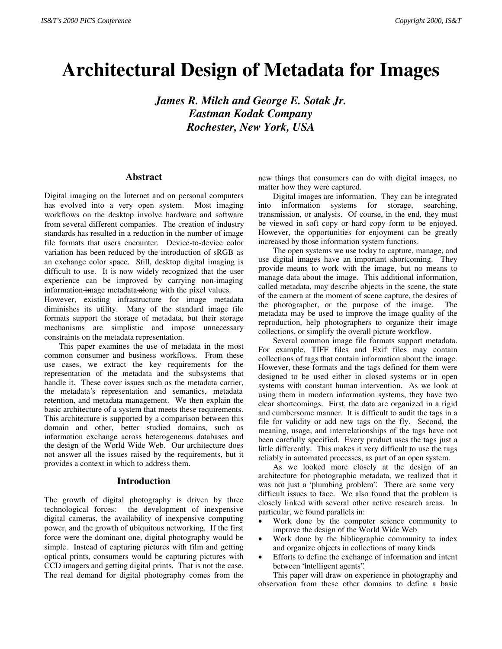# **Architectural Design of Metadata for Images**

*James R. Milch and George E. Sotak Jr. Eastman Kodak Company Rochester, New York, USA*

## **Abstract**

Digital imaging on the Internet and on personal computers has evolved into a very open system. Most imaging workflows on the desktop involve hardware and software from several different companies. The creation of industry standards has resulted in a reduction in the number of image file formats that users encounter. Device-to-device color variation has been reduced by the introduction of sRGB as an exchange color space. Still, desktop digital imaging is difficult to use. It is now widely recognized that the user experience can be improved by carrying non-imaging information-image metadata-along with the pixel values.

However, existing infrastructure for image metadata diminishes its utility. Many of the standard image file formats support the storage of metadata, but their storage mechanisms are simplistic and impose unnecessary constraints on the metadata representation.

This paper examines the use of metadata in the most common consumer and business workflows. From these use cases, we extract the key requirements for the representation of the metadata and the subsystems that handle it. These cover issues such as the metadata carrier, the metadata's representation and semantics, metadata retention, and metadata management. We then explain the basic architecture of a system that meets these requirements. This architecture is supported by a comparison between this domain and other, better studied domains, such as information exchange across heterogeneous databases and the design of the World Wide Web. Our architecture does not answer all the issues raised by the requirements, but it provides a context in which to address them.

#### **Introduction**

The growth of digital photography is driven by three technological forces: the development of inexpensive digital cameras, the availability of inexpensive computing power, and the growth of ubiquitous networking. If the first force were the dominant one, digital photography would be simple. Instead of capturing pictures with film and getting optical prints, consumers would be capturing pictures with CCD imagers and getting digital prints. That is not the case. The real demand for digital photography comes from the

new things that consumers can do with digital images, no matter how they were captured.

Digital images are information. They can be integrated into information systems for storage, searching, transmission, or analysis. Of course, in the end, they must be viewed in soft copy or hard copy form to be enjoyed. However, the opportunities for enjoyment can be greatly increased by those information system functions.

The open systems we use today to capture, manage, and use digital images have an important shortcoming. They provide means to work with the image, but no means to manage data about the image. This additional information, called metadata, may describe objects in the scene, the state of the camera at the moment of scene capture, the desires of the photographer, or the purpose of the image. The metadata may be used to improve the image quality of the reproduction, help photographers to organize their image collections, or simplify the overall picture workflow.

Several common image file formats support metadata. For example, TIFF files and Exif files may contain collections of tags that contain information about the image. However, these formats and the tags defined for them were designed to be used either in closed systems or in open systems with constant human intervention. As we look at using them in modern information systems, they have two clear shortcomings. First, the data are organized in a rigid and cumbersome manner. It is difficult to audit the tags in a file for validity or add new tags on the fly. Second, the meaning, usage, and interrelationships of the tags have not been carefully specified. Every product uses the tags just a little differently. This makes it very difficult to use the tags reliably in automated processes, as part of an open system.

As we looked more closely at the design of an architecture for photographic metadata, we realized that it was not just a "plumbing problem". There are some very difficult issues to face. We also found that the problem is closely linked with several other active research areas. In particular, we found parallels in:

- Work done by the computer science community to improve the design of the World Wide Web
- Work done by the bibliographic community to index and organize objects in collections of many kinds
- Efforts to define the exchange of information and intent between "intelligent agents".

This paper will draw on experience in photography and observation from these other domains to define a basic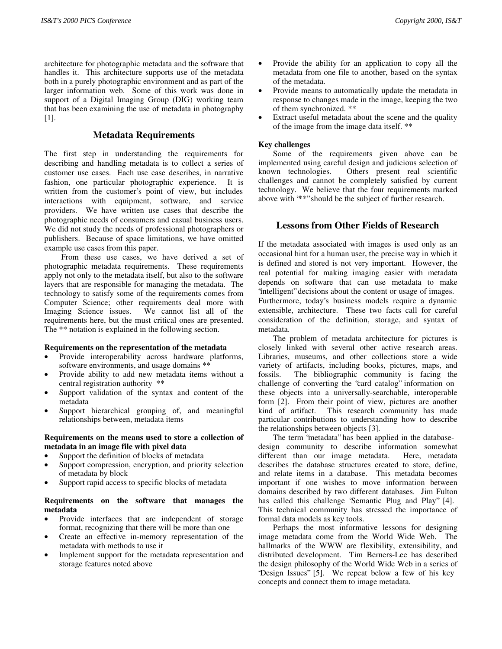architecture for photographic metadata and the software that handles it. This architecture supports use of the metadata both in a purely photographic environment and as part of the larger information web. Some of this work was done in support of a Digital Imaging Group (DIG) working team that has been examining the use of metadata in photography [1].

# **Metadata Requirements**

The first step in understanding the requirements for describing and handling metadata is to collect a series of customer use cases. Each use case describes, in narrative fashion, one particular photographic experience. It is written from the customer's point of view, but includes interactions with equipment, software, and service providers. We have written use cases that describe the photographic needs of consumers and casual business users. We did not study the needs of professional photographers or publishers. Because of space limitations, we have omitted example use cases from this paper.

 From these use cases, we have derived a set of photographic metadata requirements. These requirements apply not only to the metadata itself, but also to the software layers that are responsible for managing the metadata. The technology to satisfy some of the requirements comes from Computer Science; other requirements deal more with Imaging Science issues. We cannot list all of the requirements here, but the must critical ones are presented. The \*\* notation is explained in the following section.

#### **Requirements on the representation of the metadata**

- Provide interoperability across hardware platforms, software environments, and usage domains \*\*
- Provide ability to add new metadata items without a central registration authority \*\*
- Support validation of the syntax and content of the metadata
- Support hierarchical grouping of, and meaningful relationships between, metadata items

## **Requirements on the means used to store a collection of metadata in an image file with pixel data**

- Support the definition of blocks of metadata
- Support compression, encryption, and priority selection of metadata by block
- Support rapid access to specific blocks of metadata

## **Requirements on the software that manages the metadata**

- Provide interfaces that are independent of storage format, recognizing that there will be more than one
- Create an effective in-memory representation of the metadata with methods to use it
- Implement support for the metadata representation and storage features noted above
- Provide the ability for an application to copy all the metadata from one file to another, based on the syntax of the metadata.
- Provide means to automatically update the metadata in response to changes made in the image, keeping the two of them synchronized. \*\*
- Extract useful metadata about the scene and the quality of the image from the image data itself. \*\*

## **Key challenges**

Some of the requirements given above can be implemented using careful design and judicious selection of known technologies. Others present real scientific challenges and cannot be completely satisfied by current technology. We believe that the four requirements marked above with "\*\*" should be the subject of further research.

## **Lessons from Other Fields of Research**

If the metadata associated with images is used only as an occasional hint for a human user, the precise way in which it is defined and stored is not very important. However, the real potential for making imaging easier with metadata depends on software that can use metadata to make "intelligent" decisions about the content or usage of images.

Furthermore, today's business models require a dynamic extensible, architecture. These two facts call for careful consideration of the definition, storage, and syntax of metadata.

The problem of metadata architecture for pictures is closely linked with several other active research areas. Libraries, museums, and other collections store a wide variety of artifacts, including books, pictures, maps, and fossils. The bibliographic community is facing the challenge of converting the "card catalog" information on these objects into a universally-searchable, interoperable form [2]. From their point of view, pictures are another kind of artifact. This research community has made particular contributions to understanding how to describe the relationships between objects [3].

The term "metadata" has been applied in the databasedesign community to describe information somewhat different than our image metadata. Here, metadata describes the database structures created to store, define, and relate items in a database. This metadata becomes important if one wishes to move information between domains described by two different databases. Jim Fulton has called this challenge "Semantic Plug and Play" [4]. This technical community has stressed the importance of formal data models as key tools.

Perhaps the most informative lessons for designing image metadata come from the World Wide Web. The hallmarks of the WWW are flexibility, extensibility, and distributed development. Tim Berners-Lee has described the design philosophy of the World Wide Web in a series of "Design Issues" [5]. We repeat below a few of his key concepts and connect them to image metadata.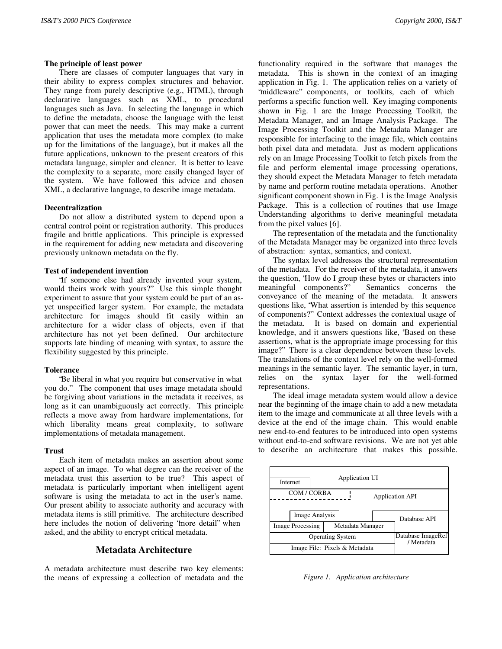#### **The principle of least power**

There are classes of computer languages that vary in their ability to express complex structures and behavior. They range from purely descriptive (e.g., HTML), through declarative languages such as XML, to procedural languages such as Java. In selecting the language in which to define the metadata, choose the language with the least power that can meet the needs. This may make a current application that uses the metadata more complex (to make up for the limitations of the language), but it makes all the future applications, unknown to the present creators of this metadata language, simpler and cleaner. It is better to leave the complexity to a separate, more easily changed layer of the system. We have followed this advice and chosen XML, a declarative language, to describe image metadata.

#### **Decentralization**

Do not allow a distributed system to depend upon a central control point or registration authority. This produces fragile and brittle applications. This principle is expressed in the requirement for adding new metadata and discovering previously unknown metadata on the fly.

#### **Test of independent invention**

"If someone else had already invented your system, would theirs work with yours?" Use this simple thought experiment to assure that your system could be part of an asyet unspecified larger system. For example, the metadata architecture for images should fit easily within an architecture for a wider class of objects, even if that architecture has not yet been defined. Our architecture supports late binding of meaning with syntax, to assure the flexibility suggested by this principle.

#### **Tolerance**

"Be liberal in what you require but conservative in what you do." The component that uses image metadata should be forgiving about variations in the metadata it receives, as long as it can unambiguously act correctly. This principle reflects a move away from hardware implementations, for which liberality means great complexity, to software implementations of metadata management.

#### **Trust**

Each item of metadata makes an assertion about some aspect of an image. To what degree can the receiver of the metadata trust this assertion to be true? This aspect of metadata is particularly important when intelligent agent software is using the metadata to act in the user's name. Our present ability to associate authority and accuracy with metadata items is still primitive. The architecture described here includes the notion of delivering "more detail" when asked, and the ability to encrypt critical metadata.

## **Metadata Architecture**

A metadata architecture must describe two key elements: the means of expressing a collection of metadata and the functionality required in the software that manages the metadata. This is shown in the context of an imaging application in Fig. 1. The application relies on a variety of 'middleware'' components, or toolkits, each of which performs a specific function well. Key imaging components shown in Fig. 1 are the Image Processing Toolkit, the Metadata Manager, and an Image Analysis Package. The Image Processing Toolkit and the Metadata Manager are responsible for interfacing to the image file, which contains both pixel data and metadata. Just as modern applications rely on an Image Processing Toolkit to fetch pixels from the file and perform elemental image processing operations, they should expect the Metadata Manager to fetch metadata by name and perform routine metadata operations. Another significant component shown in Fig. 1 is the Image Analysis Package. This is a collection of routines that use Image Understanding algorithms to derive meaningful metadata from the pixel values [6].

The representation of the metadata and the functionality of the Metadata Manager may be organized into three levels of abstraction: syntax, semantics, and context.

The syntax level addresses the structural representation of the metadata. For the receiver of the metadata, it answers the question, "How do I group these bytes or characters into meaningful components?" Semantics concerns the conveyance of the meaning of the metadata. It answers questions like, "What assertion is intended by this sequence of components?" Context addresses the contextual usage of the metadata. It is based on domain and experiential knowledge, and it answers questions like, "Based on these assertions, what is the appropriate image processing for this image?" There is a clear dependence between these levels. The translations of the context level rely on the well-formed meanings in the semantic layer. The semantic layer, in turn, relies on the syntax layer for the well-formed representations.

The ideal image metadata system would allow a device near the beginning of the image chain to add a new metadata item to the image and communicate at all three levels with a device at the end of the image chain. This would enable new end-to-end features to be introduced into open systems without end-to-end software revisions. We are not yet able to describe an architecture that makes this possible.



*Figure 1. Application architecture*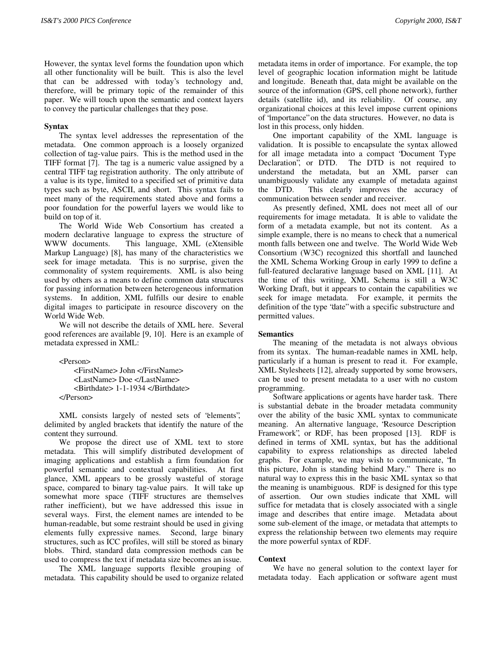However, the syntax level forms the foundation upon which all other functionality will be built. This is also the level that can be addressed with today's technology and, therefore, will be primary topic of the remainder of this paper. We will touch upon the semantic and context layers to convey the particular challenges that they pose.

## **Syntax**

The syntax level addresses the representation of the metadata. One common approach is a loosely organized collection of tag-value pairs. This is the method used in the TIFF format [7]. The tag is a numeric value assigned by a central TIFF tag registration authority. The only attribute of a value is its type, limited to a specified set of primitive data types such as byte, ASCII, and short. This syntax fails to meet many of the requirements stated above and forms a poor foundation for the powerful layers we would like to build on top of it.

The World Wide Web Consortium has created a modern declarative language to express the structure of WWW documents. This language, XML (eXtensible Markup Language) [8], has many of the characteristics we seek for image metadata. This is no surprise, given the commonality of system requirements. XML is also being used by others as a means to define common data structures for passing information between heterogeneous information systems. In addition, XML fulfills our desire to enable digital images to participate in resource discovery on the World Wide Web.

We will not describe the details of XML here. Several good references are available [9, 10]. Here is an example of metadata expressed in XML:

<Person> <FirstName> John </FirstName> <LastName> Doe </LastName> <Birthdate> 1-1-1934 </Birthdate> </Person>

XML consists largely of nested sets of "elements", delimited by angled brackets that identify the nature of the content they surround.

We propose the direct use of XML text to store metadata. This will simplify distributed development of imaging applications and establish a firm foundation for powerful semantic and contextual capabilities. At first glance, XML appears to be grossly wasteful of storage space, compared to binary tag-value pairs. It will take up somewhat more space (TIFF structures are themselves rather inefficient), but we have addressed this issue in several ways. First, the element names are intended to be human-readable, but some restraint should be used in giving elements fully expressive names. Second, large binary structures, such as ICC profiles, will still be stored as binary blobs. Third, standard data compression methods can be used to compress the text if metadata size becomes an issue.

The XML language supports flexible grouping of metadata. This capability should be used to organize related

metadata items in order of importance. For example, the top level of geographic location information might be latitude and longitude. Beneath that, data might be available on the source of the information (GPS, cell phone network), further details (satellite id), and its reliability. Of course, any organizational choices at this level impose current opinions of "importance" on the data structures. However, no data is lost in this process, only hidden.

One important capability of the XML language is validation. It is possible to encapsulate the syntax allowed for all image metadata into a compact "Document Type Declaration", or DTD. The DTD is not required to understand the metadata, but an XML parser can unambiguously validate any example of metadata against the DTD. This clearly improves the accuracy of communication between sender and receiver.

As presently defined, XML does not meet all of our requirements for image metadata. It is able to validate the form of a metadata example, but not its content. As a simple example, there is no means to check that a numerical month falls between one and twelve. The World Wide Web Consortium (W3C) recognized this shortfall and launched the XML Schema Working Group in early 1999 to define a full-featured declarative language based on XML [11]. At the time of this writing, XML Schema is still a W3C Working Draft, but it appears to contain the capabilities we seek for image metadata. For example, it permits the definition of the type "date" with a specific substructure and permitted values.

## **Semantics**

The meaning of the metadata is not always obvious from its syntax. The human-readable names in XML help, particularly if a human is present to read it. For example, XML Stylesheets [12], already supported by some browsers, can be used to present metadata to a user with no custom programming.

Software applications or agents have harder task. There is substantial debate in the broader metadata community over the ability of the basic XML syntax to communicate meaning. An alternative language, "Resource Description Framework", or RDF, has been proposed [13]. RDF is defined in terms of XML syntax, but has the additional capability to express relationships as directed labeled graphs. For example, we may wish to communicate, "In this picture, John is standing behind Mary." There is no natural way to express this in the basic XML syntax so that the meaning is unambiguous. RDF is designed for this type of assertion. Our own studies indicate that XML will suffice for metadata that is closely associated with a single image and describes that entire image. Metadata about some sub-element of the image, or metadata that attempts to express the relationship between two elements may require the more powerful syntax of RDF.

## **Context**

We have no general solution to the context layer for metadata today. Each application or software agent must